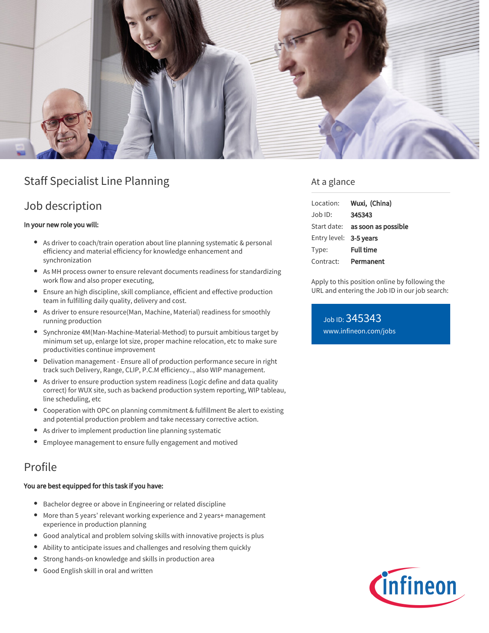

## Staff Specialist Line Planning

## Job description

#### In your new role you will:

- As driver to coach/train operation about line planning systematic & personal efficiency and material efficiency for knowledge enhancement and synchronization
- As MH process owner to ensure relevant documents readiness for standardizing work flow and also proper executing,
- Ensure an high discipline, skill compliance, efficient and effective production team in fulfilling daily quality, delivery and cost.
- As driver to ensure resource(Man, Machine, Material) readiness for smoothly running production
- Synchronize 4M(Man-Machine-Material-Method) to pursuit ambitious target by minimum set up, enlarge lot size, proper machine relocation, etc to make sure productivities continue improvement
- Delivation management Ensure all of production performance secure in right track such Delivery, Range, CLIP, P.C.M efficiency.., also WIP management.
- As driver to ensure production system readiness (Logic define and data quality  $\bullet$ correct) for WUX site, such as backend production system reporting, WIP tableau, line scheduling, etc
- Cooperation with OPC on planning commitment & fulfillment Be alert to existing and potential production problem and take necessary corrective action.
- As driver to implement production line planning systematic
- Employee management to ensure fully engagement and motived

## Profile

#### You are best equipped for this task if you have:

- Bachelor degree or above in Engineering or related discipline
- More than 5 years' relevant working experience and 2 years+ management experience in production planning
- Good analytical and problem solving skills with innovative projects is plus
- Ability to anticipate issues and challenges and resolving them quickly
- Strong hands-on knowledge and skills in production area
- Good English skill in oral and written

### At a glance

| Location:              | Wuxi, (China)                          |
|------------------------|----------------------------------------|
| Job ID:                | 345343                                 |
|                        | Start date: <b>as soon as possible</b> |
| Entry level: 3-5 years |                                        |
| Type:                  | <b>Full time</b>                       |
| Contract:              | Permanent                              |

Apply to this position online by following the URL and entering the Job ID in our job search:

Job ID: 345343 [www.infineon.com/jobs](https://www.infineon.com/jobs)